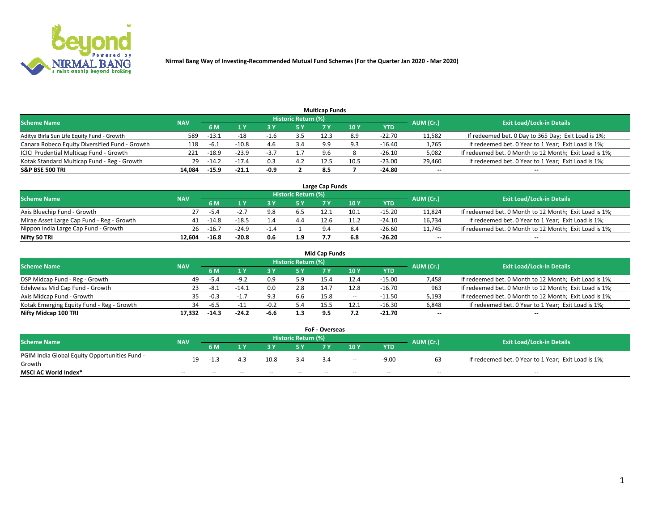

|                                                |            |         |         |        |                     | <b>Multicap Funds</b> |      |            |                          |                                                        |
|------------------------------------------------|------------|---------|---------|--------|---------------------|-----------------------|------|------------|--------------------------|--------------------------------------------------------|
| Scheme Name                                    | <b>NAV</b> |         |         |        | Historic Return (%) |                       |      |            | AUM (Cr.)                | <b>Exit Load/Lock-in Details</b>                       |
|                                                |            | '6 M    |         |        | <b>5 Y</b>          |                       | 10 Y | <b>YTD</b> |                          |                                                        |
| Aditya Birla Sun Life Equity Fund - Growth     | 589        | $-13.1$ | -18     | -1.0   |                     | 12.3                  | 8.9  | $-22.70$   | 11,582                   | If redeemed bet. 0 Day to 365 Day; Exit Load is 1%;    |
| Canara Robeco Equity Diversified Fund - Growth | 118        | $-6.1$  | $-10.8$ | 4.6    | 3.4                 | 9.9                   | ۹R   | $-16.40$   | 1,765                    | If redeemed bet. 0 Year to 1 Year; Exit Load is 1%;    |
| ICICI Prudential Multicap Fund - Growth        | 221        | $-18.9$ | $-23.9$ | -5.7   |                     | 9.6                   |      | $-26.10$   | 5,082                    | If redeemed bet. 0 Month to 12 Month; Exit Load is 1%; |
| Kotak Standard Multicap Fund - Reg - Growth    | 29         | $-14.2$ | $-17.4$ | 0.3    |                     | 12.5                  | 10.5 | $-23.00$   | 29,460                   | If redeemed bet. 0 Year to 1 Year; Exit Load is 1%;    |
| <b>S&amp;P BSE 500 TRI</b>                     | 14.084     | -15.9   | $-21.1$ | $-0.9$ |                     | 8.5                   |      | $-24.80$   | $\overline{\phantom{a}}$ | $-$                                                    |

| Large Cap Funds                           |            |         |         |        |                     |      |      |          |           |                                                        |  |  |  |  |
|-------------------------------------------|------------|---------|---------|--------|---------------------|------|------|----------|-----------|--------------------------------------------------------|--|--|--|--|
| Scheme Name                               | <b>NAV</b> |         |         |        | Historic Return (%) |      |      |          | AUM (Cr.) | <b>Exit Load/Lock-in Details</b>                       |  |  |  |  |
|                                           |            | 6 M     |         |        | 5 Y                 | 7 Y  | 10Y  | YTD      |           |                                                        |  |  |  |  |
| Axis Bluechip Fund - Growth               |            | -5.4    | $-2.7$  | 9.8    | 6.5                 | 12.1 | 10.1 | -15.20   | 11,824    | If redeemed bet. 0 Month to 12 Month; Exit Load is 1%; |  |  |  |  |
| Mirae Asset Large Cap Fund - Reg - Growth | 41         | -14.8   | $-18.5$ |        | 4.4                 | 12.6 | 11.2 | $-24.10$ | 16,734    | If redeemed bet. 0 Year to 1 Year; Exit Load is 1%;    |  |  |  |  |
| Nippon India Large Cap Fund - Growth      | 26         | $-16.7$ | $-24.9$ | $-1.4$ |                     |      |      | -26.60   | 11,745    | If redeemed bet. 0 Month to 12 Month; Exit Load is 1%; |  |  |  |  |
| Nifty 50 TRI                              | 12.604     | $-16.8$ | $-20.8$ | 0.6    | 1.9                 |      | 6.8  | -26.20   | $\sim$    | $-$                                                    |  |  |  |  |

|                                           |            |         |         |        |                     | <b>Mid Cap Funds</b> |      |            |           |                                                        |
|-------------------------------------------|------------|---------|---------|--------|---------------------|----------------------|------|------------|-----------|--------------------------------------------------------|
| <b>Scheme Name</b>                        | <b>NAV</b> |         |         |        | Historic Return (%) |                      |      |            | AUM (Cr.) | <b>Exit Load/Lock-in Details</b>                       |
|                                           |            | 6 M     |         |        |                     |                      | 10Y  | <b>YTD</b> |           |                                                        |
| DSP Midcap Fund - Reg - Growth            | 49         | -5.4    | ⊥a 1    | 0.9    | 5.9                 | 15.4                 | 12.4 | $-15.00$   | 7,458     | If redeemed bet. 0 Month to 12 Month; Exit Load is 1%; |
| Edelweiss Mid Cap Fund - Growth           | 23         | -8.1    | -14.1   | 0.0    | 2.8                 | 14.7                 | 12.8 | $-16.70$   | 963       | If redeemed bet. 0 Month to 12 Month; Exit Load is 1%; |
| Axis Midcap Fund - Growth                 | 35         | $-0.3$  | - 1     | 9.3    | 6.6                 | 15.8                 | $-$  | $-11.50$   | 5,193     | If redeemed bet. 0 Month to 12 Month; Exit Load is 1%; |
| Kotak Emerging Equity Fund - Reg - Growth | 34         | -6.5    | $-11$   | $-0.2$ | 5.4                 | 15.5                 | 12.1 | $-16.30$   | 6,848     | If redeemed bet. 0 Year to 1 Year; Exit Load is 1%;    |
| Nifty Midcap 100 TRI                      | 17.332     | $-14.3$ | $-24.2$ | $-6.6$ | 1.3                 | 9.5                  |      | $-21.70$   | $\sim$    | $\overline{\phantom{a}}$                               |

| <b>FoF - Overseas</b>                         |            |       |       |       |                            |      |       |            |           |                                                     |  |  |  |
|-----------------------------------------------|------------|-------|-------|-------|----------------------------|------|-------|------------|-----------|-----------------------------------------------------|--|--|--|
| <b>Scheme Name</b>                            | <b>NAV</b> |       |       |       | <b>Historic Return (%)</b> |      |       |            | AUM (Cr.) | <b>Exit Load/Lock-in Details</b>                    |  |  |  |
|                                               |            | 6 M   |       |       |                            |      | 10Y   | <b>YTD</b> |           |                                                     |  |  |  |
| PGIM India Global Equity Opportunities Fund - | 19         |       |       | 10.8  | 3.4                        | 3.4  | $- -$ | $-9.00$    |           | If redeemed bet. 0 Year to 1 Year; Exit Load is 1%; |  |  |  |
| Growth                                        |            |       |       |       |                            |      |       |            |           |                                                     |  |  |  |
| <b>MSCI AC World Index*</b>                   | $ -$       | $- -$ | $- -$ | $- -$ | $- -$                      | $ -$ | $- -$ | $- -$      | $- -$     | $- -$                                               |  |  |  |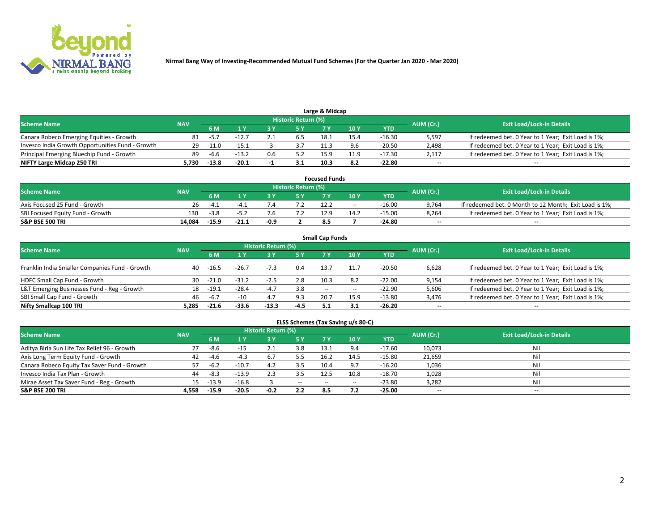

| <b>Scheme Name</b>                               |            |         |         |                          | Historic Return (%) |      |      |            | AUM (Cr.)                | <b>Exit Load/Lock-in Details</b>                    |
|--------------------------------------------------|------------|---------|---------|--------------------------|---------------------|------|------|------------|--------------------------|-----------------------------------------------------|
|                                                  | <b>NAV</b> | 5 M     |         |                          | 5 Y                 |      | 10Y  | <b>YTD</b> |                          |                                                     |
| Canara Robeco Emerging Equities - Growth         | 81         | $-5.7$  | $-12.7$ |                          | 6.5                 | 18.1 | 15.4 | $-16.30$   | 5,597                    | If redeemed bet. 0 Year to 1 Year; Exit Load is 1%; |
| Invesco India Growth Opportunities Fund - Growth | 29.        | $-11.0$ | $-15.1$ |                          |                     | 11.3 | 9.6  | $-20.50$   | 2,498                    | If redeemed bet. 0 Year to 1 Year; Exit Load is 1%; |
| Principal Emerging Bluechip Fund - Growth        | 89         | -6.6    | $-13.2$ | 0.6                      | 5.2                 | 15.9 | 11.9 | -17.30     | 2,117                    | If redeemed bet. 0 Year to 1 Year; Exit Load is 1%; |
| NIFTY Large Midcap 250 TRI                       | .730 د     | $-13.8$ | $-20.1$ | $\overline{\phantom{a}}$ |                     | 10.3 | 8.2  | -22.80     | $\overline{\phantom{a}}$ | $- -$                                               |

| <b>Focused Funds</b>             |            |         |         |      |                     |      |       |          |           |                                                        |  |  |  |
|----------------------------------|------------|---------|---------|------|---------------------|------|-------|----------|-----------|--------------------------------------------------------|--|--|--|
| <b>Scheme Name</b>               | <b>NAV</b> |         |         |      | Historic Return (%) |      |       |          | AUM (Cr.) | <b>Exit Load/Lock-in Details</b>                       |  |  |  |
|                                  |            | 6 M     |         |      |                     |      | 10 Y  | YTD      |           |                                                        |  |  |  |
| Axis Focused 25 Fund - Growth    | 26         |         |         |      |                     |      | $- -$ | -16.00   | 9,764     | If redeemed bet. 0 Month to 12 Month; Exit Load is 1%; |  |  |  |
| SBI Focused Equity Fund - Growth | 130        | $-3.8$  |         |      |                     | 12.9 | 14.2  | $-15.00$ | 8.264     | If redeemed bet. 0 Year to 1 Year; Exit Load is 1%;    |  |  |  |
| <b>S&amp;P BSE 500 TRI</b>       | 14.084     | $-15.9$ | $-21.1$ | -0.9 |                     |      |       | -24.80   | $\sim$    | $- -$                                                  |  |  |  |

| <b>Small Cap Funds</b>                         |            |           |         |                            |        |      |       |            |           |                                                     |  |  |  |
|------------------------------------------------|------------|-----------|---------|----------------------------|--------|------|-------|------------|-----------|-----------------------------------------------------|--|--|--|
| <b>Scheme Name</b>                             | <b>NAV</b> |           |         | <b>Historic Return (%)</b> |        |      |       |            | AUM (Cr.) | <b>Exit Load/Lock-in Details</b>                    |  |  |  |
|                                                |            | <b>6M</b> |         |                            | 5 Y    | 7 Y  | 10Y   | <b>YTD</b> |           |                                                     |  |  |  |
| Franklin India Smaller Companies Fund - Growth | 40         | -16.5     | $-26.7$ | $-7.3$                     | 0.4    | 13.7 | 11.7  | $-20.50$   | 6.628     | If redeemed bet. 0 Year to 1 Year; Exit Load is 1%; |  |  |  |
| HDFC Small Cap Fund - Growth                   | 30         | $-21.0$   | $-31.2$ | $-2.5$                     | 2.8    | 10.3 | 8.2   | $-22.00$   | 9,154     | If redeemed bet. 0 Year to 1 Year; Exit Load is 1%; |  |  |  |
| L&T Emerging Businesses Fund - Reg - Growth    | 18         | $-19.1$   | $-28.4$ | $-4.7$                     | 3.8    | $-$  | $- -$ | $-22.90$   | 5,606     | If redeemed bet. 0 Year to 1 Year; Exit Load is 1%; |  |  |  |
| SBI Small Cap Fund - Growth                    | 46         | $-6.7$    | $-10$   | 4.7                        | 9.3    | 20.7 | 15.9  | $-13.80$   | 3,476     | If redeemed bet. 0 Year to 1 Year; Exit Load is 1%; |  |  |  |
| Nifty Smallcap 100 TRI                         | 5.285      | $-21.6$   | $-33.6$ | $-13.3$                    | $-4.5$ |      | 3.1   | $-26.20$   | $\sim$    | $- -$                                               |  |  |  |

## **ELSS Schemes (Tax Saving u/s 80-C)**

| <b>Scheme Name</b>                           | <b>NAV</b> |         |         | <b>Historic Return (%)</b> |           |                          |      |          | AUM (Cr.) | <b>Exit Load/Lock-in Details</b> |
|----------------------------------------------|------------|---------|---------|----------------------------|-----------|--------------------------|------|----------|-----------|----------------------------------|
|                                              |            | 6 M     | 4 Y     | 3 Y                        | <b>5Y</b> | 7 Y                      | 10Y  | YTD      |           |                                  |
| Aditya Birla Sun Life Tax Relief 96 - Growth | 27         | -8.6    | -15     |                            | 3.8       | 13.1                     | 9.4  | $-17.60$ | 10,073    | Nil                              |
| Axis Long Term Equity Fund - Growth          | 42         | $-4.6$  |         |                            | 5.5       | 16.2                     | 14.5 | $-15.80$ | 21,659    | Nil                              |
| Canara Robeco Equity Tax Saver Fund - Growth |            | $-6.2$  | $-10.7$ | 4.2                        | 3.5       | 10.4                     | 9.7  | $-16.20$ | 1,036     | Nil                              |
| Invesco India Tax Plan - Growth              | 44         | -8.3    | $-13.9$ |                            |           | 12.5                     | 10.8 | $-18.70$ | 1,028     | Nil                              |
| Mirae Asset Tax Saver Fund - Reg - Growth    | 15         | $-13.9$ | $-16.8$ |                            | $\sim$    | $\overline{\phantom{m}}$ | --   | $-23.80$ | 3,282     | Nil                              |
| <b>S&amp;P BSE 200 TRI</b>                   | 4.558      | -15.9   | $-20.5$ | $-0.2$                     | 2.2       |                          | 7.2  | -25.00   | $\sim$    | $- -$                            |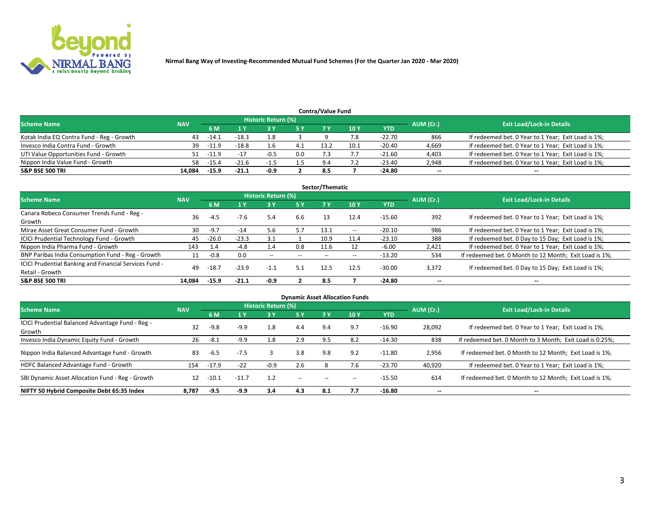

|                                           |            |         |         |                     |     | <b>Contra/Value Fund</b> |      |          |           |                                                     |
|-------------------------------------------|------------|---------|---------|---------------------|-----|--------------------------|------|----------|-----------|-----------------------------------------------------|
| <b>Scheme Name</b>                        | <b>NAV</b> |         |         | Historic Return (%) |     |                          |      |          | AUM (Cr.) | <b>Exit Load/Lock-in Details</b>                    |
|                                           |            | 6 M     |         |                     | 5 Y | 7 Y                      | 10Y  | YTD      |           |                                                     |
| Kotak India EQ Contra Fund - Reg - Growth | 43         | -14.1   | $-18.3$ |                     |     |                          | 7.8  | $-22.70$ | 866       | If redeemed bet. 0 Year to 1 Year; Exit Load is 1%; |
| Invesco India Contra Fund - Growth        | 39         | $-11.9$ | $-18.8$ |                     |     | 13.2                     | 10.1 | $-20.40$ | 4,669     | If redeemed bet. 0 Year to 1 Year; Exit Load is 1%; |
| UTI Value Opportunities Fund - Growth     | 51         | -11.9   | $-17$   | $-0.5$              | 0.0 |                          |      | $-21.60$ | 4,403     | If redeemed bet. 0 Year to 1 Year; Exit Load is 1%; |
| Nippon India Value Fund - Growth          | 58         | $-15.4$ | $-21.6$ |                     |     | $\Omega$                 |      | -23.40   | 2,948     | If redeemed bet. 0 Year to 1 Year; Exit Load is 1%; |
| <b>S&amp;P BSE 500 TRI</b>                | 14.084     | $-15.9$ | $-21.1$ | -0.9                |     | 8.5                      |      | -24.80   | $\sim$    | $- -$                                               |

| Sector/Thematic                                                           |            |         |         |                     |       |       |                          |            |                          |                                                        |  |  |  |
|---------------------------------------------------------------------------|------------|---------|---------|---------------------|-------|-------|--------------------------|------------|--------------------------|--------------------------------------------------------|--|--|--|
| <b>Scheme Name</b>                                                        | <b>NAV</b> |         |         | Historic Return (%) |       |       |                          |            | AUM (Cr.)                | <b>Exit Load/Lock-in Details</b>                       |  |  |  |
|                                                                           |            | 6 M     | 1 Y     | 73 Y                | 15 Y  | 7 Y   | 10Y                      | <b>YTD</b> |                          |                                                        |  |  |  |
| Canara Robeco Consumer Trends Fund - Reg -<br>Growth                      | 36         | $-4.5$  | $-7.6$  | 5.4                 | 6.6   | 13    | 12.4                     | $-15.60$   | 392                      | If redeemed bet. 0 Year to 1 Year; Exit Load is 1%;    |  |  |  |
| Mirae Asset Great Consumer Fund - Growth                                  | 30         | $-9.7$  | $-14$   | 5.6                 | 5.7   | 13.1  | $\overline{\phantom{a}}$ | $-20.10$   | 986                      | If redeemed bet. 0 Year to 1 Year; Exit Load is 1%;    |  |  |  |
| ICICI Prudential Technology Fund - Growth                                 | 45         | $-26.0$ | $-23.3$ | 3.1                 |       | 10.9  | 11.4                     | $-23.10$   | 388                      | If redeemed bet. 0 Day to 15 Day; Exit Load is 1%;     |  |  |  |
| Nippon India Pharma Fund - Growth                                         | 143        | 1.4     | $-4.8$  | $1.4^{\circ}$       | 0.8   | 11.6  |                          | $-6.00$    | 2,421                    | If redeemed bet. 0 Year to 1 Year; Exit Load is 1%;    |  |  |  |
| BNP Paribas India Consumption Fund - Reg - Growth                         | 11         | $-0.8$  | 0.0     | $\sim$              | $- -$ | $- -$ | $- -$                    | $-13.20$   | 534                      | If redeemed bet. 0 Month to 12 Month; Exit Load is 1%; |  |  |  |
| ICICI Prudential Banking and Financial Services Fund -<br>Retail - Growth | 49         | $-18.7$ | $-23.9$ | $-1.1$              | 5.1   | 12.5  | 12.5                     | $-30.00$   | 3,372                    | If redeemed bet. 0 Day to 15 Day; Exit Load is 1%;     |  |  |  |
| <b>S&amp;P BSE 500 TRI</b>                                                | 14.084     | $-15.9$ | $-21.1$ | $-0.9$              |       | 8.5   |                          | -24.80     | $\overline{\phantom{a}}$ | $- -$                                                  |  |  |  |

| <b>Dynamic Asset Allocation Funds</b>                      |            |         |         |                     |       |       |                 |            |           |                                                          |  |  |  |
|------------------------------------------------------------|------------|---------|---------|---------------------|-------|-------|-----------------|------------|-----------|----------------------------------------------------------|--|--|--|
| <b>Scheme Name</b>                                         | <b>NAV</b> |         |         | Historic Return (%) |       |       |                 |            | AUM (Cr.) | <b>Exit Load/Lock-in Details</b>                         |  |  |  |
|                                                            |            | 6 M     |         | 3 Y                 | 5 Y   |       | 10 <sub>1</sub> | <b>YTD</b> |           |                                                          |  |  |  |
| ICICI Prudential Balanced Advantage Fund - Reg -<br>Growth | 32         | $-9.8$  | $-9.9$  | 1.8                 | 4.4   | 9.4   | 9.7             | $-16.90$   | 28,092    | If redeemed bet. 0 Year to 1 Year; Exit Load is 1%;      |  |  |  |
| Invesco India Dynamic Equity Fund - Growth                 | 26         | $-8.1$  | -9.9    | 1.8                 | 2.9   | 9.5   | 8.2             | $-14.30$   | 838       | If redeemed bet. 0 Month to 3 Month; Exit Load is 0.25%; |  |  |  |
| Nippon India Balanced Advantage Fund - Growth              | 83         | $-6.5$  | $-7.5$  | 3                   | 3.8   | 9.8   | 9.2             | $-11.80$   | 2,956     | If redeemed bet. 0 Month to 12 Month; Exit Load is 1%;   |  |  |  |
| HDFC Balanced Advantage Fund - Growth                      | 154        | $-17.9$ | $-22$   | $-0.9$              | 2.6   | Õ     | 7.6             | $-23.70$   | 40,920    | If redeemed bet. 0 Year to 1 Year; Exit Load is 1%;      |  |  |  |
| SBI Dynamic Asset Allocation Fund - Reg - Growth           | 12         | $-10.1$ | $-11.7$ | 1.2                 | $- -$ | $- -$ | --              | $-15.50$   | 614       | If redeemed bet. 0 Month to 12 Month; Exit Load is 1%;   |  |  |  |
| NIFTY 50 Hybrid Composite Debt 65:35 Index                 | 8.787      | $-9.5$  | -9.9    | 3.4                 | 4.3   | 8.1   | 7.7             | -16.80     | --        | --                                                       |  |  |  |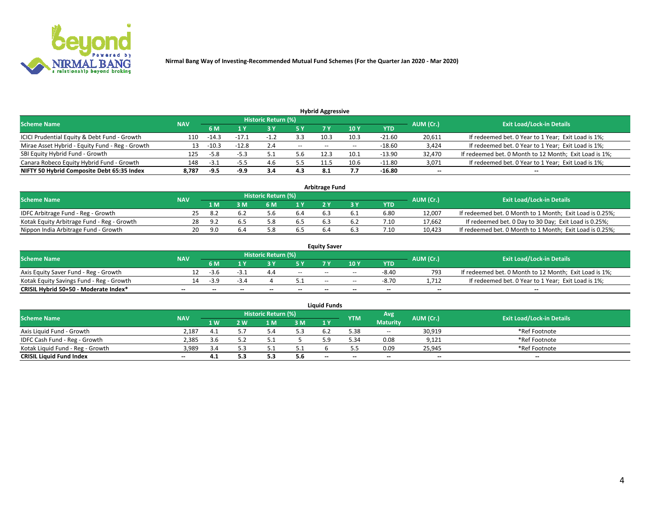

| <b>Hybrid Aggressive</b>                        |            |         |         |                            |        |                          |       |          |                          |                                                        |  |  |  |
|-------------------------------------------------|------------|---------|---------|----------------------------|--------|--------------------------|-------|----------|--------------------------|--------------------------------------------------------|--|--|--|
| <b>Scheme Name</b>                              | <b>NAV</b> |         |         | <b>Historic Return (%)</b> |        |                          |       |          | AUM (Cr.)                | <b>Exit Load/Lock-in Details</b>                       |  |  |  |
|                                                 |            | 6 M     |         |                            |        |                          | 10Y   | YTD      |                          |                                                        |  |  |  |
| ICICI Prudential Equity & Debt Fund - Growth    | 110        | $-14.3$ | -17.1   |                            | 3.3    | 10.3                     | 10.3  | $-21.60$ | 20,611                   | If redeemed bet. 0 Year to 1 Year; Exit Load is 1%;    |  |  |  |
| Mirae Asset Hybrid - Equity Fund - Reg - Growth | 13         | $-10.3$ | $-12.8$ | 2.4                        | $\sim$ | $\overline{\phantom{a}}$ | $- -$ | -18.60   | 3,424                    | If redeemed bet. 0 Year to 1 Year; Exit Load is 1%;    |  |  |  |
| SBI Equity Hybrid Fund - Growth                 | 125        | $-5.8$  |         |                            |        | 12.3                     | 10.1  | $-13.90$ | 32,470                   | If redeemed bet. 0 Month to 12 Month; Exit Load is 1%; |  |  |  |
| Canara Robeco Equity Hybrid Fund - Growth       | 148        | $-3.1$  |         | 4.6                        | 5.5    | 11.5                     | 10.6  | $-11.80$ | 3,071                    | If redeemed bet. 0 Year to 1 Year; Exit Load is 1%;    |  |  |  |
| NIFTY 50 Hybrid Composite Debt 65:35 Index      | 8.787      | -9.5    | -9.9    | 3.4                        | 4.3    |                          |       | -16.80   | $\overline{\phantom{a}}$ | $- -$                                                  |  |  |  |

|                                            |            |                                  |     |     |     | <b>Arbitrage Fund</b> |      |        |                                                          |
|--------------------------------------------|------------|----------------------------------|-----|-----|-----|-----------------------|------|--------|----------------------------------------------------------|
| <b>Scheme Name</b>                         | AUM (Cr.)  | <b>Exit Load/Lock-in Details</b> |     |     |     |                       |      |        |                                                          |
|                                            | <b>NAV</b> | 1 M                              | ያ M | 6 M |     |                       | YTD  |        |                                                          |
| IDFC Arbitrage Fund - Reg - Growth         | 25         |                                  |     | b   | 6.4 | 6.                    | 6.80 | 12,007 | If redeemed bet. 0 Month to 1 Month; Exit Load is 0.25%; |
| Kotak Equity Arbitrage Fund - Reg - Growth | 28         | ാ                                |     |     | 6.5 | b.                    | 7.10 | 17,662 | If redeemed bet. 0 Day to 30 Day; Exit Load is 0.25%;    |
| Nippon India Arbitrage Fund - Growth       | 20.        | 9.N                              |     |     | b.5 |                       | 7.10 | 10,423 | If redeemed bet. 0 Month to 1 Month; Exit Load is 0.25%; |

|                                          |            |           |                                  |                          |                          | <b>Equity Saver</b> |               |            |                          |                                                        |
|------------------------------------------|------------|-----------|----------------------------------|--------------------------|--------------------------|---------------------|---------------|------------|--------------------------|--------------------------------------------------------|
| Scheme Name                              | <b>NAV</b> | AUM (Cr.) | <b>Exit Load/Lock-in Details</b> |                          |                          |                     |               |            |                          |                                                        |
|                                          |            | 6 M       |                                  |                          | 5 Y                      |                     | $\sqrt{10}$ Y | <b>YTD</b> |                          |                                                        |
| Axis Equity Saver Fund - Reg - Growth    |            | $-3.6$    | ـ - - -                          |                          | $\sim$                   | $- -$               | $- -$         | $-8.40$    | 793                      | If redeemed bet. 0 Month to 12 Month; Exit Load is 1%; |
| Kotak Equity Savings Fund - Reg - Growth |            | $-3.9$    | -3.4                             |                          |                          | $\sim$ $\sim$       | $- -$         | $-8.70$    | 1.712                    | If redeemed bet. 0 Year to 1 Year; Exit Load is 1%;    |
| CRISIL Hybrid 50+50 - Moderate Index*    |            | $- -$     | $-$                              | $\overline{\phantom{a}}$ | $\overline{\phantom{a}}$ | $\sim$              | --            | $- -$      | $\overline{\phantom{a}}$ | $- -$                                                  |

| <b>Liquid Funds</b>              |            |      |     |                            |     |                          |            |                 |           |                                  |  |  |  |  |
|----------------------------------|------------|------|-----|----------------------------|-----|--------------------------|------------|-----------------|-----------|----------------------------------|--|--|--|--|
| Scheme Name                      | <b>NAV</b> |      |     | <b>Historic Return (%)</b> |     |                          | <b>YTM</b> | Avg             | AUM (Cr.) | <b>Exit Load/Lock-in Details</b> |  |  |  |  |
|                                  |            | 1 W. | 2 W | 1 M                        | 3M  | 1 Y                      |            | <b>Maturity</b> |           |                                  |  |  |  |  |
| Axis Liquid Fund - Growth        | 2,187      |      |     |                            | 5.3 |                          | 5.38       | $\sim$          | 30,919    | *Ref Footnote                    |  |  |  |  |
| IDFC Cash Fund - Reg - Growth    | 2.385      |      |     |                            |     |                          | 5.34       | 0.08            | 9,121     | *Ref Footnote                    |  |  |  |  |
| Kotak Liquid Fund - Reg - Growth | 3,989      |      |     |                            | ۰.۱ |                          |            | 0.09            | 25,945    | *Ref Footnote                    |  |  |  |  |
| <b>CRISIL Liquid Fund Index</b>  | $\sim$     | 4.1  | 5.3 |                            | 5.6 | $\overline{\phantom{a}}$ | $-$        | $- -$           | $\sim$    | $\sim$                           |  |  |  |  |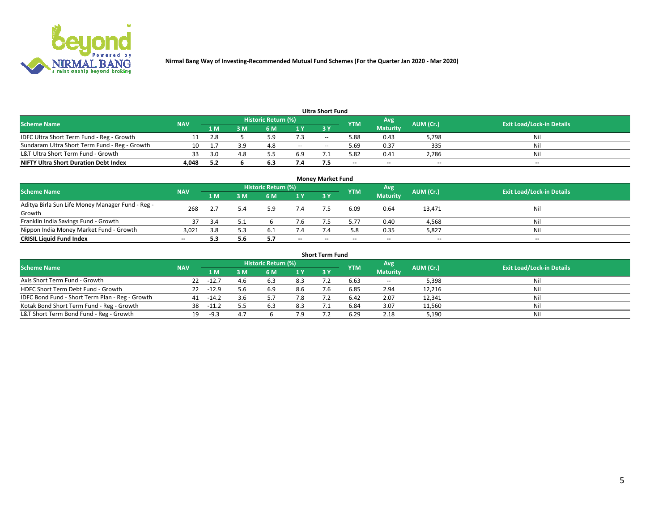

|                                               |            |            |     |                     |     | <b>Ultra Short Fund</b> |            |                 |           |                                  |
|-----------------------------------------------|------------|------------|-----|---------------------|-----|-------------------------|------------|-----------------|-----------|----------------------------------|
| <b>Scheme Name</b>                            | <b>NAV</b> |            |     | Historic Return (%) |     |                         | <b>YTM</b> | Avg             | AUM (Cr.) | <b>Exit Load/Lock-in Details</b> |
|                                               |            | 1 M        | 3 M | 6 M                 | 1 Y | 3 Y                     |            | <b>Maturity</b> |           |                                  |
| IDFC Ultra Short Term Fund - Reg - Growth     |            | 2.8        |     |                     | 7.3 | $- -$                   | 5.88       | 0.43            | 5,798     | Nil                              |
| Sundaram Ultra Short Term Fund - Reg - Growth |            |            | 3.9 | 4.8                 | $-$ | --                      | 5.69       | 0.37            | 335       | Nil                              |
| L&T Ultra Short Term Fund - Growth            |            | <b>ຊ</b> ∩ | 4.8 |                     | 6.9 |                         | 5.82       | 0.41            | 2,786     | Nil                              |
| <b>NIFTY Ultra Short Duration Debt Index</b>  | 4.048      | 5.2        |     | O.J                 | 7.4 |                         | $\sim$     | $\sim$          | $\sim$    | $- -$                            |

| <b>Money Market Fund</b>                                   |            |     |     |                     |        |    |            |                 |           |                                  |  |  |  |
|------------------------------------------------------------|------------|-----|-----|---------------------|--------|----|------------|-----------------|-----------|----------------------------------|--|--|--|
| <b>Scheme Name</b>                                         | <b>NAV</b> |     |     | Historic Return (%) |        |    | <b>YTM</b> | 'Avg            | AUM (Cr.) | <b>Exit Load/Lock-in Details</b> |  |  |  |
|                                                            |            | 1 M | 3 M | 6 M                 | 1 Y    | 3Y |            | <b>Maturity</b> |           |                                  |  |  |  |
| Aditya Birla Sun Life Money Manager Fund - Reg -<br>Growth | 268        |     |     | 5.9                 | 7.4    |    | 6.09       | 0.64            | 13,471    | Nil                              |  |  |  |
| Franklin India Savings Fund - Growth                       |            | 3.4 |     |                     | 7.6    |    | $5.7^{-}$  | 0.40            | 4,568     | Nil                              |  |  |  |
| Nippon India Money Market Fund - Growth                    | 3,021      | 3.8 | 5.3 | -6.1                | 7.4    |    | 5.8        | 0.35            | 5,827     | Nil                              |  |  |  |
| <b>CRISIL Liquid Fund Index</b>                            | $- -$      |     | 5.6 |                     | $\sim$ | -- | --         | $\sim$          | $\sim$    | $\sim$                           |  |  |  |

| <b>Short Term Fund</b>                          |            |         |     |                     |     |            |            |                 |           |                                  |  |  |  |  |
|-------------------------------------------------|------------|---------|-----|---------------------|-----|------------|------------|-----------------|-----------|----------------------------------|--|--|--|--|
| <b>Scheme Name</b>                              | <b>NAV</b> |         |     | Historic Return (%) |     |            | <b>YTM</b> | Avg             | AUM (Cr.) | <b>Exit Load/Lock-in Details</b> |  |  |  |  |
|                                                 |            | 1 M     | 3 M | 6 M                 | 1 Y | <b>3 Y</b> |            | <b>Maturity</b> |           |                                  |  |  |  |  |
| Axis Short Term Fund - Growth                   | 22         | $-12.7$ | 4.6 | 6.3                 | 8.3 |            | 6.63       | $-$             | 5,398     | Nil                              |  |  |  |  |
| HDFC Short Term Debt Fund - Growth              | 22         | $-12.9$ | 5.6 | 6.9                 | 8.6 |            | 6.85       | 2.94            | 12,216    | Nil                              |  |  |  |  |
| IDFC Bond Fund - Short Term Plan - Reg - Growth | 41         | $-14.2$ | 3.6 |                     | 7.8 |            | 6.42       | 2.07            | 12,341    | Nil                              |  |  |  |  |
| Kotak Bond Short Term Fund - Reg - Growth       | 38         | $-11.2$ |     | 6.3                 | 8.3 |            | 6.84       | 3.07            | 11,560    | Nil                              |  |  |  |  |
| L&T Short Term Bond Fund - Reg - Growth         | 19.        | - Q 3   |     |                     | 7.9 |            | 6.29       | 2.18            | 5,190     | Nil                              |  |  |  |  |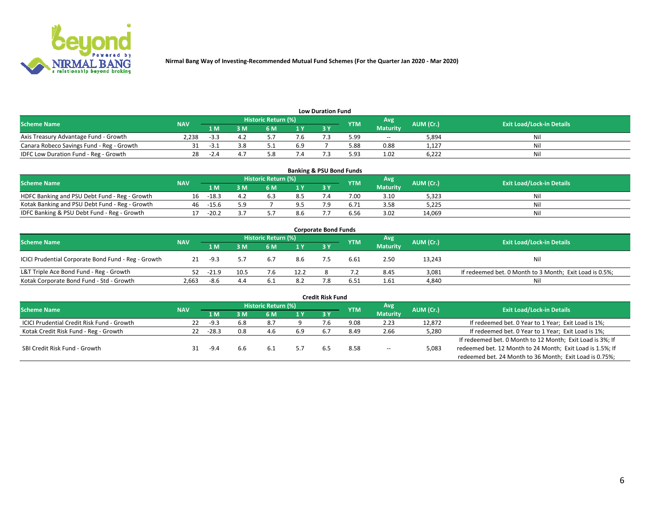

| <b>Low Duration Fund</b>                  |            |      |     |                            |     |  |            |                 |           |                                  |  |  |  |
|-------------------------------------------|------------|------|-----|----------------------------|-----|--|------------|-----------------|-----------|----------------------------------|--|--|--|
| <b>Scheme Name</b>                        | <b>NAV</b> |      |     | <b>Historic Return (%)</b> |     |  | <b>YTM</b> | Avg             | AUM (Cr.) | <b>Exit Load/Lock-in Details</b> |  |  |  |
|                                           |            | 1 M  | ያ M | 5 M                        | 1 V |  |            | <b>Maturity</b> |           |                                  |  |  |  |
| Axis Treasury Advantage Fund - Growth     | 2.238      |      |     |                            |     |  | 5.99       | $- -$           | 5,894     | Nil                              |  |  |  |
| Canara Robeco Savings Fund - Reg - Growth |            | - 31 |     |                            | 6.9 |  | 5.88       | 0.88            | 1,127     | Nil                              |  |  |  |
| IDFC Low Duration Fund - Reg - Growth     |            | -14  |     |                            |     |  | 5.93       | 1.02            | 6,222     | Nil                              |  |  |  |

| <b>Banking &amp; PSU Bond Funds</b>            |            |         |      |                            |      |           |            |                 |           |                                  |  |  |  |
|------------------------------------------------|------------|---------|------|----------------------------|------|-----------|------------|-----------------|-----------|----------------------------------|--|--|--|
| <b>Scheme Name</b>                             | <b>NAV</b> |         |      | <b>Historic Return (%)</b> |      |           | <b>YTM</b> | Avg             | AUM (Cr.) | <b>Exit Load/Lock-in Details</b> |  |  |  |
|                                                |            | 1 M     | sм   | 6 M                        | 71 Y | <b>3Y</b> |            | <b>Maturity</b> |           |                                  |  |  |  |
| HDFC Banking and PSU Debt Fund - Reg - Growth  | 16         | $-18.3$ | -4.2 | b.3                        | 8.5  |           | 7.00       | 3.10            | 5,323     | Ni                               |  |  |  |
| Kotak Banking and PSU Debt Fund - Reg - Growth | 46         | $-15.6$ | 5.9  |                            | 9.5  |           |            | 3.58            | 5,225     | Ni                               |  |  |  |
| IDFC Banking & PSU Debt Fund - Reg - Growth    |            | $-20.2$ |      |                            | 8.6  |           | 6.56       | 3.02            | 14.069    | Ni                               |  |  |  |

| <b>Corporate Bond Funds</b>                         |            |         |      |                     |      |    |            |                 |           |                                                         |  |  |  |
|-----------------------------------------------------|------------|---------|------|---------------------|------|----|------------|-----------------|-----------|---------------------------------------------------------|--|--|--|
| <b>Scheme Name</b>                                  | <b>NAV</b> |         |      | Historic Return (%) |      |    | <b>YTM</b> | Avg             | AUM (Cr.) | <b>Exit Load/Lock-in Details</b>                        |  |  |  |
|                                                     |            | 1 M     | : M  | 6 M                 | 1Y   | 3V |            | <b>Maturity</b> |           |                                                         |  |  |  |
| ICICI Prudential Corporate Bond Fund - Reg - Growth | 21         | $-9.3$  |      | 6.7                 | 8.6  |    | 6.61       | 2.50            | 13,243    | Nil                                                     |  |  |  |
| L&T Triple Ace Bond Fund - Reg - Growth             | 52         | $-21.9$ | 10.5 |                     | 12.2 |    |            | 8.45            | 3,081     | If redeemed bet. 0 Month to 3 Month; Exit Load is 0.5%; |  |  |  |
| Kotak Corporate Bond Fund - Std - Growth            | 2,663      | -8.6    | 4.4  |                     | 8.2  |    | 6.51       | 1.61            | 4,840     | Nil                                                     |  |  |  |

|                                                   |            |         |     |                            |       | <b>Credit Risk Fund</b> |            |                 |           |                                                           |
|---------------------------------------------------|------------|---------|-----|----------------------------|-------|-------------------------|------------|-----------------|-----------|-----------------------------------------------------------|
| <b>Scheme Name</b>                                | <b>NAV</b> |         |     | <b>Historic Return (%)</b> |       |                         | <b>YTM</b> | Avg             | AUM (Cr.) | <b>Exit Load/Lock-in Details</b>                          |
|                                                   |            | 1 M     | 3 M | 6 M                        | 71 Y. | 3Y                      |            | <b>Maturity</b> |           |                                                           |
| <b>ICICI Prudential Credit Risk Fund - Growth</b> | 22         | -9.3    | 6.8 | 8.7                        |       |                         | 9.08       | 2.23            | 12,872    | If redeemed bet. 0 Year to 1 Year; Exit Load is 1%;       |
| Kotak Credit Risk Fund - Reg - Growth             |            | $-28.3$ | 0.8 | 4.6                        | 6.9   |                         | 8.49       | 2.66            | 5,280     | If redeemed bet. 0 Year to 1 Year; Exit Load is 1%;       |
|                                                   |            |         |     |                            |       |                         |            |                 |           | If redeemed bet. 0 Month to 12 Month; Exit Load is 3%; If |
| SBI Credit Risk Fund - Growth                     |            | -9.4    | 6.6 | -6.1                       |       | 6.5                     | 8.58       | $- -$           | 5,083     | redeemed bet. 12 Month to 24 Month; Exit Load is 1.5%; If |
|                                                   |            |         |     |                            |       |                         |            |                 |           | redeemed bet. 24 Month to 36 Month; Exit Load is 0.75%;   |